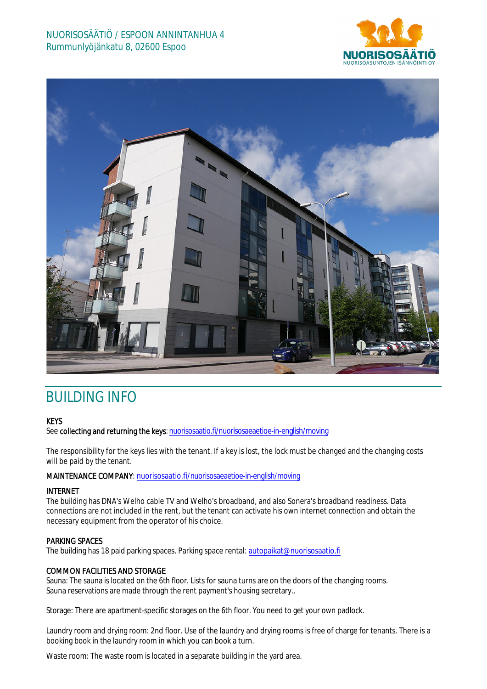



# BUILDING INFO

## **KEYS**

See collecting and returning the keys: nuorisosaatio.fi/nuorisosaeaetioe-in-english/moving

The responsibility for the keys lies with the tenant. If a key is lost, the lock must be changed and the changing costs will be paid by the tenant.

## MAINTENANCE COMPANY: nuorisosaatio.fi/nuorisosaeaetioe-in-english/moving

## INTERNET

The building has DNA's Welho cable TV and Welho's broadband, and also Sonera's broadband readiness. Data connections are not included in the rent, but the tenant can activate his own internet connection and obtain the necessary equipment from the operator of his choice.

## PARKING SPACES

The building has 18 paid parking spaces. Parking space rental: autopaikat@nuorisosaatio.fi

## COMMON FACILITIES AND STORAGE

Sauna: The sauna is located on the 6th floor. Lists for sauna turns are on the doors of the changing rooms. Sauna reservations are made through the rent payment's housing secretary..

Storage: There are apartment-specific storages on the 6th floor. You need to get your own padlock.

Laundry room and drying room: 2nd floor. Use of the laundry and drying rooms is free of charge for tenants. There is a booking book in the laundry room in which you can book a turn.

Waste room: The waste room is located in a separate building in the yard area.